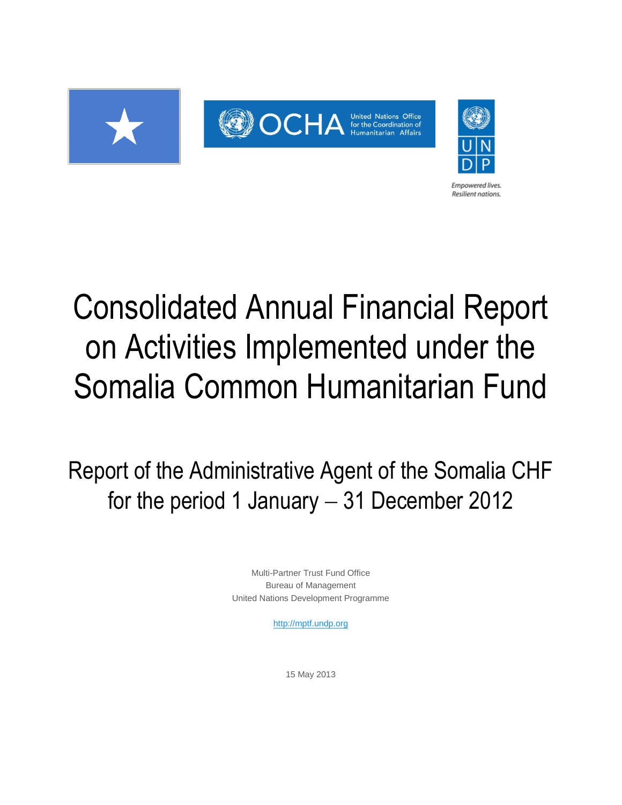

# Consolidated Annual Financial Report on Activities Implemented under the Somalia Common Humanitarian Fund

**Empowered lives Resilient nations.** 

Report of the Administrative Agent of the Somalia CHF for the period 1 January  $-31$  December 2012

> Multi-Partner Trust Fund Office Bureau of Management United Nations Development Programme

> > [http://mptf.undp.org](http://mptf.undp.org/)

15 May 2013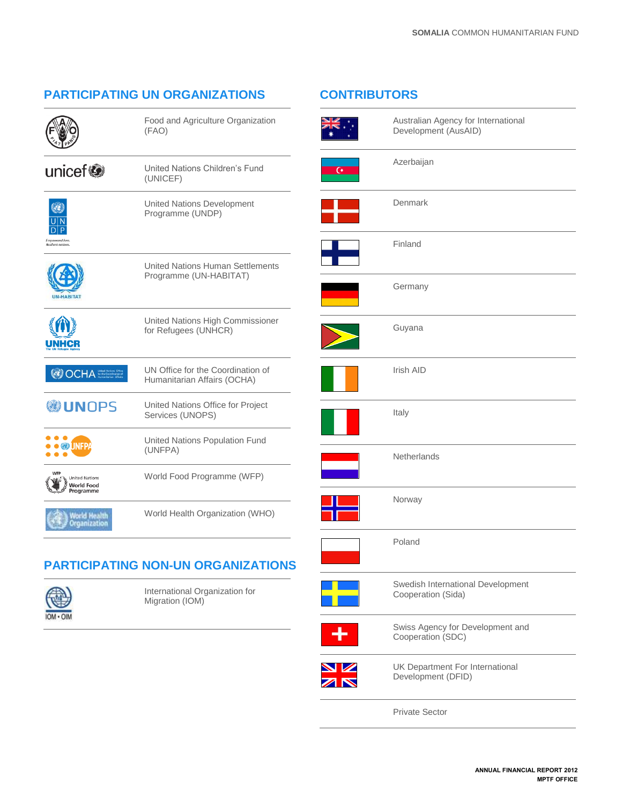# **PARTICIPATING UN ORGANIZATIONS**

Food and Agriculture Organization

|--|

|                                                         | (FAO)                                                             |
|---------------------------------------------------------|-------------------------------------------------------------------|
| unicef <sup>®</sup>                                     | United Nations Children's Fund<br>(UNICEF)                        |
| <b>Empowered lives</b><br>Resilient nations.            | <b>United Nations Development</b><br>Programme (UNDP)             |
|                                                         | <b>United Nations Human Settlements</b><br>Programme (UN-HABITAT) |
|                                                         | United Nations High Commissioner<br>for Refugees (UNHCR)          |
| <b>OOCHA</b>                                            | UN Office for the Coordination of<br>Humanitarian Affairs (OCHA)  |
| <b>NUNOPS</b>                                           | United Nations Office for Project<br>Services (UNOPS)             |
| <b>OB UNFP</b>                                          | United Nations Population Fund<br>(UNFPA)                         |
| <b>Jnited Nations</b><br><b>Norld Food</b><br>Programme | World Food Programme (WFP)                                        |
| World Health<br>Organization                            | World Health Organization (WHO)                                   |
|                                                         |                                                                   |

# **PARTICIPATING NON-UN ORGANIZATIONS**



International Organization for Migration (IOM)

# **CONTRIBUTORS**



Australian Agency for International Development (AusAID)



Denmark

Azerbaijan

Finland

Germany







Guyana Irish AID Italy **Netherlands** Norway Poland Swedish International Development Cooperation (Sida)



 $\overline{\mathbf{z}}$ 

Swiss Agency for Development and Cooperation (SDC) UK Department For International Development (DFID)

Private Sector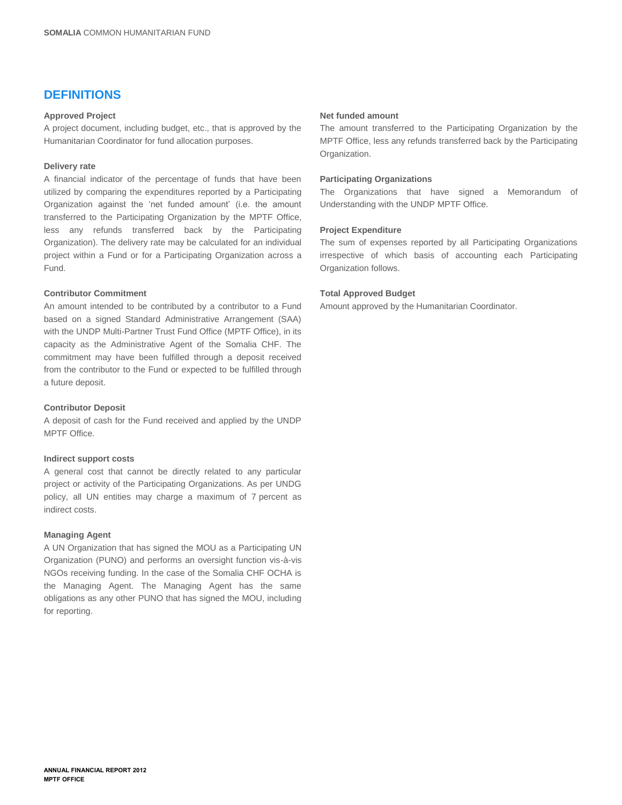# **DEFINITIONS**

#### **Approved Project**

A project document, including budget, etc., that is approved by the Humanitarian Coordinator for fund allocation purposes.

#### **Delivery rate**

A financial indicator of the percentage of funds that have been utilized by comparing the expenditures reported by a Participating Organization against the 'net funded amount' (i.e. the amount transferred to the Participating Organization by the MPTF Office, less any refunds transferred back by the Participating Organization). The delivery rate may be calculated for an individual project within a Fund or for a Participating Organization across a Fund.

#### **Contributor Commitment**

An amount intended to be contributed by a contributor to a Fund based on a signed Standard Administrative Arrangement (SAA) with the UNDP Multi-Partner Trust Fund Office (MPTF Office), in its capacity as the Administrative Agent of the Somalia CHF. The commitment may have been fulfilled through a deposit received from the contributor to the Fund or expected to be fulfilled through a future deposit.

#### **Contributor Deposit**

A deposit of cash for the Fund received and applied by the UNDP MPTF Office.

#### **Indirect support costs**

A general cost that cannot be directly related to any particular project or activity of the Participating Organizations. As per UNDG policy, all UN entities may charge a maximum of 7 percent as indirect costs.

#### **Managing Agent**

A UN Organization that has signed the MOU as a Participating UN Organization (PUNO) and performs an oversight function vis-à-vis NGOs receiving funding. In the case of the Somalia CHF OCHA is the Managing Agent. The Managing Agent has the same obligations as any other PUNO that has signed the MOU, including for reporting.

#### **Net funded amount**

The amount transferred to the Participating Organization by the MPTF Office, less any refunds transferred back by the Participating Organization.

#### **Participating Organizations**

The Organizations that have signed a Memorandum of Understanding with the UNDP MPTF Office.

#### **Project Expenditure**

The sum of expenses reported by all Participating Organizations irrespective of which basis of accounting each Participating Organization follows.

#### **Total Approved Budget**

Amount approved by the Humanitarian Coordinator.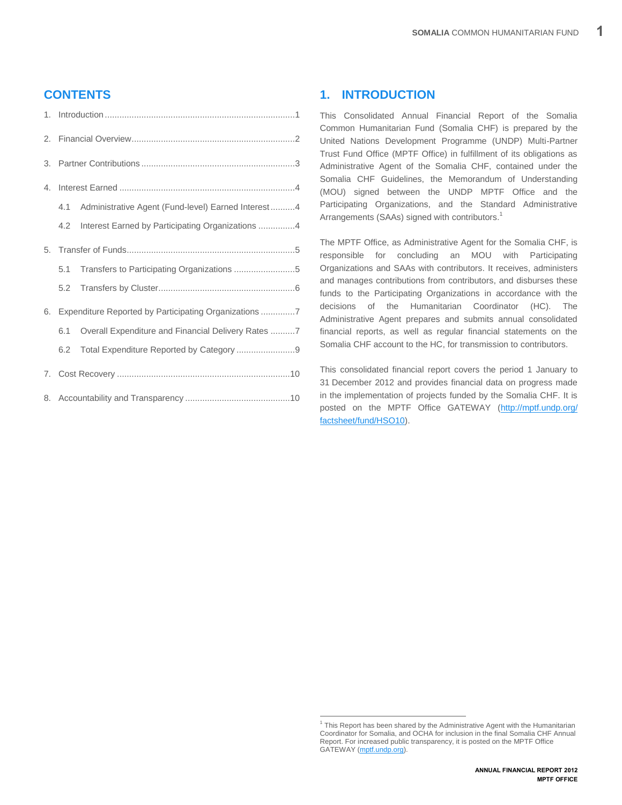# **CONTENTS**

|    | 4.1 | Administrative Agent (Fund-level) Earned Interest 4   |  |
|----|-----|-------------------------------------------------------|--|
|    | 4.2 | Interest Earned by Participating Organizations 4      |  |
|    |     |                                                       |  |
|    | 5.1 | Transfers to Participating Organizations 5            |  |
|    |     |                                                       |  |
| 6. |     | Expenditure Reported by Participating Organizations 7 |  |
|    | 6.1 | Overall Expenditure and Financial Delivery Rates 7    |  |
|    | 6.2 | Total Expenditure Reported by Category 9              |  |
|    |     |                                                       |  |
|    |     |                                                       |  |

# <span id="page-3-0"></span>**1. INTRODUCTION**

This Consolidated Annual Financial Report of the Somalia Common Humanitarian Fund (Somalia CHF) is prepared by the United Nations Development Programme (UNDP) Multi-Partner Trust Fund Office (MPTF Office) in fulfillment of its obligations as Administrative Agent of the Somalia CHF, contained under the Somalia CHF Guidelines, the Memorandum of Understanding (MOU) signed between the UNDP MPTF Office and the Participating Organizations, and the Standard Administrative Arrangements (SAAs) signed with contributors.<sup>1</sup>

The MPTF Office, as Administrative Agent for the Somalia CHF, is responsible for concluding an MOU with Participating Organizations and SAAs with contributors. It receives, administers and manages contributions from contributors, and disburses these funds to the Participating Organizations in accordance with the decisions of the Humanitarian Coordinator (HC). The Administrative Agent prepares and submits annual consolidated financial reports, as well as regular financial statements on the Somalia CHF account to the HC, for transmission to contributors.

This consolidated financial report covers the period 1 January to 31 December 2012 and provides financial data on progress made in the implementation of projects funded by the Somalia CHF. It is posted on the MPTF Office GATEWAY [\(http://mptf.undp.org/](http://mptf.undp.org/factsheet/fund/HSO10)  [factsheet/fund/HSO10\)](http://mptf.undp.org/factsheet/fund/HSO10).

 1 This Report has been shared by the Administrative Agent with the Humanitarian Coordinator for Somalia, and OCHA for inclusion in the final Somalia CHF Annual Report. For increased public transparency, it is posted on the MPTF Office GATEWAY [\(mptf.undp.org\).](http://mdtf.undp.org/factsheet/fund/HSO10)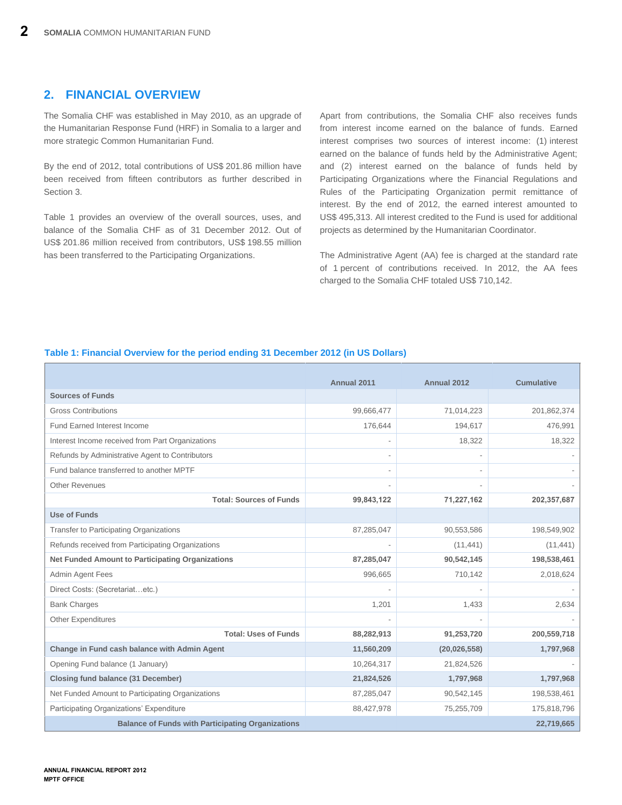# <span id="page-4-0"></span>**2. FINANCIAL OVERVIEW**

The Somalia CHF was established in May 2010, as an upgrade of the Humanitarian Response Fund (HRF) in Somalia to a larger and more strategic Common Humanitarian Fund.

By the end of 2012, total contributions of US\$ 201.86 million have been received from fifteen contributors as further described in Section 3.

Table 1 provides an overview of the overall sources, uses, and balance of the Somalia CHF as of 31 December 2012. Out of US\$ 201.86 million received from contributors, US\$ 198.55 million has been transferred to the Participating Organizations.

Apart from contributions, the Somalia CHF also receives funds from interest income earned on the balance of funds. Earned interest comprises two sources of interest income: (1) interest earned on the balance of funds held by the Administrative Agent; and (2) interest earned on the balance of funds held by Participating Organizations where the Financial Regulations and Rules of the Participating Organization permit remittance of interest. By the end of 2012, the earned interest amounted to US\$ 495,313. All interest credited to the Fund is used for additional projects as determined by the Humanitarian Coordinator.

The Administrative Agent (AA) fee is charged at the standard rate of 1 percent of contributions received. In 2012, the AA fees charged to the Somalia CHF totaled US\$ 710,142.

### **Table 1: Financial Overview for the period ending 31 December 2012 (in US Dollars)**

| <b>Sources of Funds</b>                                  | Annual 2011 | Annual 2012    | <b>Cumulative</b> |
|----------------------------------------------------------|-------------|----------------|-------------------|
|                                                          |             |                |                   |
| <b>Gross Contributions</b>                               | 99,666,477  | 71,014,223     | 201,862,374       |
| <b>Fund Earned Interest Income</b>                       | 176,644     | 194,617        | 476,991           |
| Interest Income received from Part Organizations         |             | 18,322         | 18,322            |
| Refunds by Administrative Agent to Contributors          |             |                |                   |
| Fund balance transferred to another MPTF                 |             |                |                   |
| <b>Other Revenues</b>                                    |             |                |                   |
| <b>Total: Sources of Funds</b>                           | 99,843,122  | 71,227,162     | 202,357,687       |
| <b>Use of Funds</b>                                      |             |                |                   |
| <b>Transfer to Participating Organizations</b>           | 87,285,047  | 90,553,586     | 198,549,902       |
| Refunds received from Participating Organizations        |             | (11, 441)      | (11, 441)         |
| <b>Net Funded Amount to Participating Organizations</b>  | 87,285,047  | 90,542,145     | 198,538,461       |
| Admin Agent Fees                                         | 996,665     | 710,142        | 2,018,624         |
| Direct Costs: (Secretariatetc.)                          |             |                |                   |
| <b>Bank Charges</b>                                      | 1,201       | 1,433          | 2,634             |
| <b>Other Expenditures</b>                                |             |                |                   |
| <b>Total: Uses of Funds</b>                              | 88,282,913  | 91,253,720     | 200,559,718       |
| Change in Fund cash balance with Admin Agent             | 11,560,209  | (20, 026, 558) | 1,797,968         |
| Opening Fund balance (1 January)                         | 10,264,317  | 21,824,526     |                   |
| <b>Closing fund balance (31 December)</b>                | 21,824,526  | 1,797,968      | 1,797,968         |
| Net Funded Amount to Participating Organizations         | 87,285,047  | 90,542,145     | 198,538,461       |
| Participating Organizations' Expenditure                 | 88,427,978  | 75,255,709     | 175,818,796       |
| <b>Balance of Funds with Participating Organizations</b> |             |                | 22,719,665        |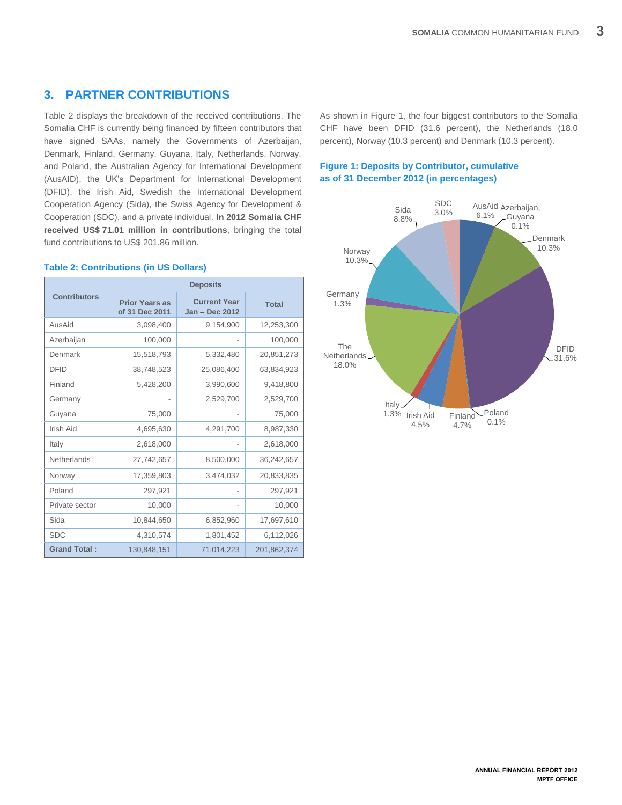# <span id="page-5-0"></span>**3. PARTNER CONTRIBUTIONS**

Table 2 displays the breakdown of the received contributions. The Somalia CHF is currently being financed by fifteen contributors that have signed SAAs, namely the Governments of Azerbaijan, Denmark, Finland, Germany, Guyana, Italy, Netherlands, Norway, and Poland, the Australian Agency for International Development (AusAID), the UK's Department for International Development (DFID), the Irish Aid, Swedish the International Development Cooperation Agency (Sida), the Swiss Agency for Development & Cooperation (SDC), and a private individual. **In 2012 Somalia CHF received US\$ 71.01 million in contributions**, bringing the total fund contributions to US\$ 201.86 million.

## **Contributors Deposits Prior Years as of 31 Dec 2011 Current Year Jan – Dec 2012 Total** AusAid 3,098,400 9,154,900 12,253,300 Azerbaijan 100,000 - 100,000 Denmark 15,518,793 5,332,480 20,851,273 DFID 38,748,523 25,086,400 63,834,923 Finland 5,428,200 3,990,600 9,418,800 Germany 1 - 2,529,700 2,529,700 Guyana 75,000 - 75,000 Irish Aid 4,695,630 4,291,700 8,987,330 Italy 2,618,000 - 2,618,000 Netherlands 27,742,657 8,500,000 36,242,657 Norway 17,359,803 3,474,032 20,833,835 Poland 297,921 - 297,921 Private sector 10,000 - 10,000 Sida 10,844,650 6,852,960 17,697,610 SDC 4,310,574 1,801,452 6,112,026 Grand Total **:** 130,848,151 71,014,223 201,862,374

#### **Table 2: Contributions (in US Dollars)**

As shown in Figure 1, the four biggest contributors to the Somalia CHF have been DFID (31.6 percent), the Netherlands (18.0 percent), Norway (10.3 percent) and Denmark (10.3 percent).

## **Figure 1: Deposits by Contributor, cumulative as of 31 December 2012 (in percentages)**

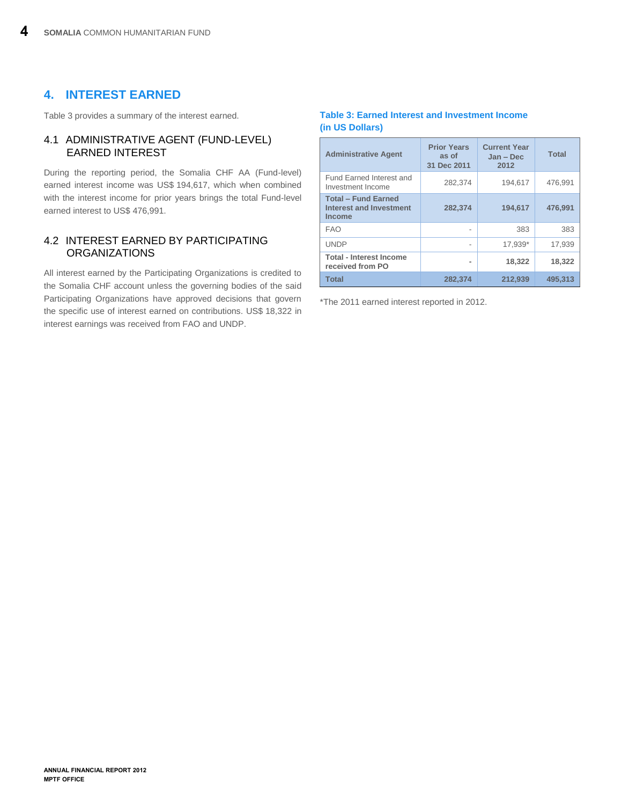# <span id="page-6-0"></span>**4. INTEREST EARNED**

Table 3 provides a summary of the interest earned.

# <span id="page-6-1"></span>4.1 ADMINISTRATIVE AGENT (FUND-LEVEL) EARNED INTEREST

During the reporting period, the Somalia CHF AA (Fund-level) earned interest income was US\$ 194,617, which when combined with the interest income for prior years brings the total Fund-level earned interest to US\$ 476,991.

# <span id="page-6-2"></span>4.2 INTEREST EARNED BY PARTICIPATING **ORGANIZATIONS**

All interest earned by the Participating Organizations is credited to the Somalia CHF account unless the governing bodies of the said Participating Organizations have approved decisions that govern the specific use of interest earned on contributions. US\$ 18,322 in interest earnings was received from FAO and UNDP.

## **Table 3: Earned Interest and Investment Income (in US Dollars)**

| <b>Administrative Agent</b>                                            | <b>Prior Years</b><br>as of<br>31 Dec 2011 | <b>Current Year</b><br>Jan - Dec<br>2012 | <b>Total</b> |
|------------------------------------------------------------------------|--------------------------------------------|------------------------------------------|--------------|
| Fund Earned Interest and<br>Investment Income                          | 282,374                                    | 194,617                                  | 476.991      |
| <b>Total - Fund Earned</b><br>Interest and Investment<br><b>Income</b> | 282,374                                    | 194,617                                  | 476,991      |
| <b>FAO</b>                                                             | ۰                                          | 383                                      | 383          |
| <b>UNDP</b>                                                            | ٠                                          | 17.939*                                  | 17.939       |
| <b>Total - Interest Income</b><br>received from PO                     | -                                          | 18,322                                   | 18,322       |
| <b>Total</b>                                                           | 282,374                                    | 212,939                                  | 495.313      |

\*The 2011 earned interest reported in 2012.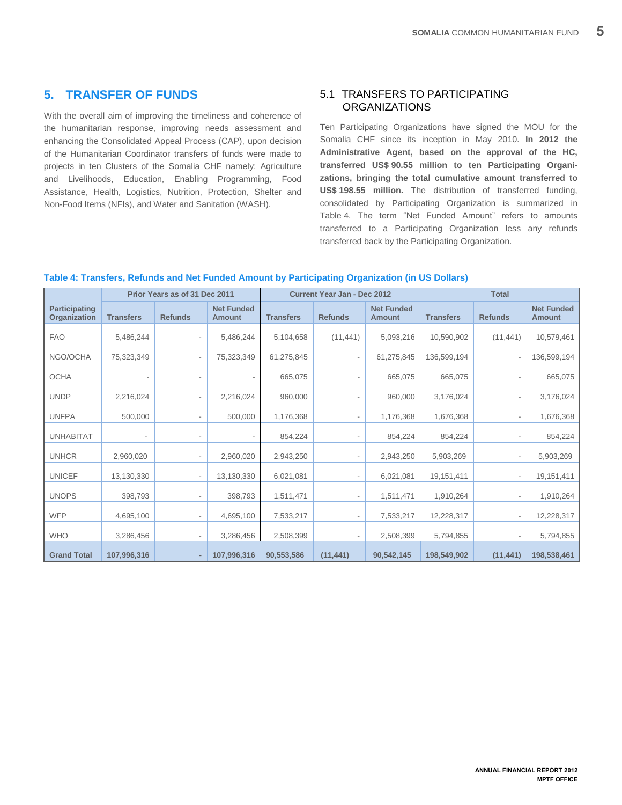# <span id="page-7-0"></span>**5. TRANSFER OF FUNDS**

With the overall aim of improving the timeliness and coherence of the humanitarian response, improving needs assessment and enhancing the Consolidated Appeal Process (CAP), upon decision of the Humanitarian Coordinator transfers of funds were made to projects in ten Clusters of the Somalia CHF namely: Agriculture and Livelihoods, Education, Enabling Programming, Food Assistance, Health, Logistics, Nutrition, Protection, Shelter and Non-Food Items (NFIs), and Water and Sanitation (WASH).

# <span id="page-7-1"></span>5.1 TRANSFERS TO PARTICIPATING **ORGANIZATIONS**

Ten Participating Organizations have signed the MOU for the Somalia CHF since its inception in May 2010. **In 2012 the Administrative Agent, based on the approval of the HC, transferred US\$ 90.55 million to ten Participating Organizations, bringing the total cumulative amount transferred to US\$ 198.55 million.** The distribution of transferred funding, consolidated by Participating Organization is summarized in Table 4. The term "Net Funded Amount" refers to amounts transferred to a Participating Organization less any refunds transferred back by the Participating Organization.

#### **Table 4: Transfers, Refunds and Net Funded Amount by Participating Organization (in US Dollars)**

|                               |                          | Prior Years as of 31 Dec 2011 |                                    |                  | <b>Current Year Jan - Dec 2012</b> |                             | <b>Total</b>     |                              |                             |
|-------------------------------|--------------------------|-------------------------------|------------------------------------|------------------|------------------------------------|-----------------------------|------------------|------------------------------|-----------------------------|
| Participating<br>Organization | <b>Transfers</b>         | <b>Refunds</b>                | <b>Net Funded</b><br><b>Amount</b> | <b>Transfers</b> | <b>Refunds</b>                     | <b>Net Funded</b><br>Amount | <b>Transfers</b> | <b>Refunds</b>               | <b>Net Funded</b><br>Amount |
| <b>FAO</b>                    | 5,486,244                |                               | 5,486,244                          | 5,104,658        | (11, 441)                          | 5,093,216                   | 10,590,902       | (11, 441)                    | 10,579,461                  |
| NGO/OCHA                      | 75,323,349               |                               | 75,323,349                         | 61,275,845       |                                    | 61,275,845                  | 136,599,194      | $\overline{\phantom{a}}$     | 136,599,194                 |
| <b>OCHA</b>                   | $\overline{\phantom{a}}$ | $\qquad \qquad \blacksquare$  | $\overline{\phantom{a}}$           | 665,075          |                                    | 665,075                     | 665,075          | $\overline{\phantom{a}}$     | 665,075                     |
| <b>UNDP</b>                   | 2,216,024                |                               | 2,216,024                          | 960,000          | $\overline{a}$                     | 960,000                     | 3,176,024        | $\overline{\phantom{0}}$     | 3,176,024                   |
| <b>UNFPA</b>                  | 500,000                  |                               | 500,000                            | 1,176,368        |                                    | 1,176,368                   | 1,676,368        | $\qquad \qquad \blacksquare$ | 1,676,368                   |
| <b>UNHABITAT</b>              | $\overline{\phantom{a}}$ |                               | $\overline{\phantom{a}}$           | 854,224          |                                    | 854,224                     | 854,224          | $\overline{\phantom{a}}$     | 854,224                     |
| <b>UNHCR</b>                  | 2,960,020                |                               | 2,960,020                          | 2,943,250        |                                    | 2,943,250                   | 5,903,269        | $\overline{\phantom{0}}$     | 5,903,269                   |
| <b>UNICEF</b>                 | 13,130,330               | $\overline{\phantom{a}}$      | 13,130,330                         | 6,021,081        | $\overline{\phantom{a}}$           | 6,021,081                   | 19,151,411       | $\overline{\phantom{a}}$     | 19,151,411                  |
| <b>UNOPS</b>                  | 398,793                  |                               | 398,793                            | 1,511,471        |                                    | 1,511,471                   | 1,910,264        | $\overline{\phantom{a}}$     | 1,910,264                   |
| <b>WFP</b>                    | 4,695,100                |                               | 4,695,100                          | 7,533,217        |                                    | 7,533,217                   | 12,228,317       | $\overline{\phantom{a}}$     | 12,228,317                  |
| <b>WHO</b>                    | 3,286,456                | $\overline{\phantom{a}}$      | 3,286,456                          | 2,508,399        |                                    | 2,508,399                   | 5,794,855        |                              | 5,794,855                   |
| <b>Grand Total</b>            | 107,996,316              |                               | 107,996,316                        | 90,553,586       | (11, 441)                          | 90,542,145                  | 198,549,902      | (11, 441)                    | 198,538,461                 |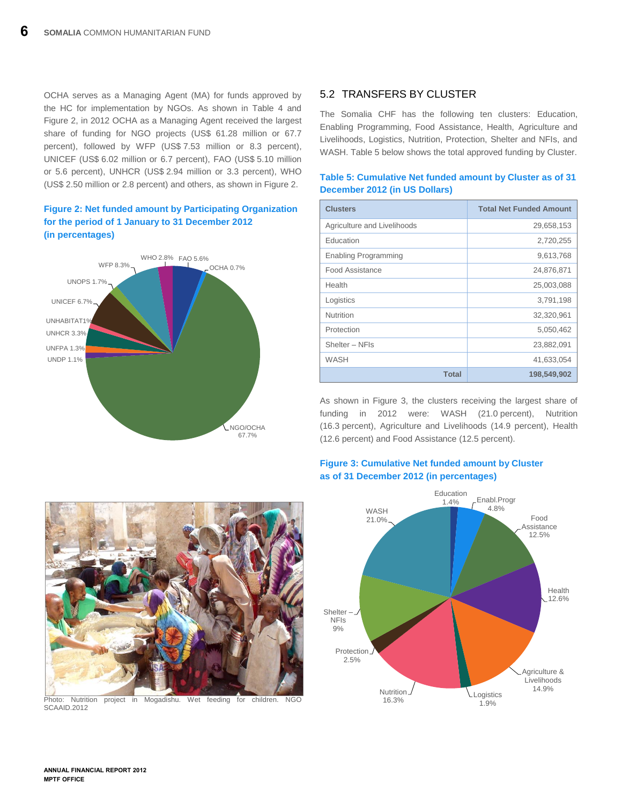OCHA serves as a Managing Agent (MA) for funds approved by the HC for implementation by NGOs. As shown in Table 4 and Figure 2, in 2012 OCHA as a Managing Agent received the largest share of funding for NGO projects (US\$ 61.28 million or 67.7 percent), followed by WFP (US\$ 7.53 million or 8.3 percent), UNICEF (US\$ 6.02 million or 6.7 percent), FAO (US\$ 5.10 million or 5.6 percent), UNHCR (US\$ 2.94 million or 3.3 percent), WHO (US\$ 2.50 million or 2.8 percent) and others, as shown in Figure 2.

## **Figure 2: Net funded amount by Participating Organization for the period of 1 January to 31 December 2012 (in percentages)**



# <span id="page-8-0"></span>5.2 TRANSFERS BY CLUSTER

**December 2012 (in US Dollars)**

The Somalia CHF has the following ten clusters: Education, Enabling Programming, Food Assistance, Health, Agriculture and Livelihoods, Logistics, Nutrition, Protection, Shelter and NFIs, and WASH. Table 5 below shows the total approved funding by Cluster.

**Table 5: Cumulative Net funded amount by Cluster as of 31** 

| <b>Clusters</b>             | <b>Total Net Funded Amount</b> |
|-----------------------------|--------------------------------|
| Agriculture and Livelihoods | 29,658,153                     |
| Education                   | 2,720,255                      |
| <b>Enabling Programming</b> | 9,613,768                      |
| Food Assistance             | 24,876,871                     |
| Health                      | 25,003,088                     |
| Logistics                   | 3,791,198                      |
| Nutrition                   | 32,320,961                     |
| Protection                  | 5,050,462                      |
| Shelter - NFIs              | 23,882,091                     |
| WASH                        | 41,633,054                     |
| <b>Total</b>                | 198,549,902                    |

As shown in Figure 3, the clusters receiving the largest share of funding in 2012 were: WASH (21.0 percent), Nutrition (16.3 percent), Agriculture and Livelihoods (14.9 percent), Health

## **Figure 3: Cumulative Net funded amount by Cluster as of 31 December 2012 (in percentages)**

(12.6 percent) and Food Assistance (12.5 percent).





Photo: Nutrition project in Mogadishu. Wet feeding for children. NGC SCAAID.2012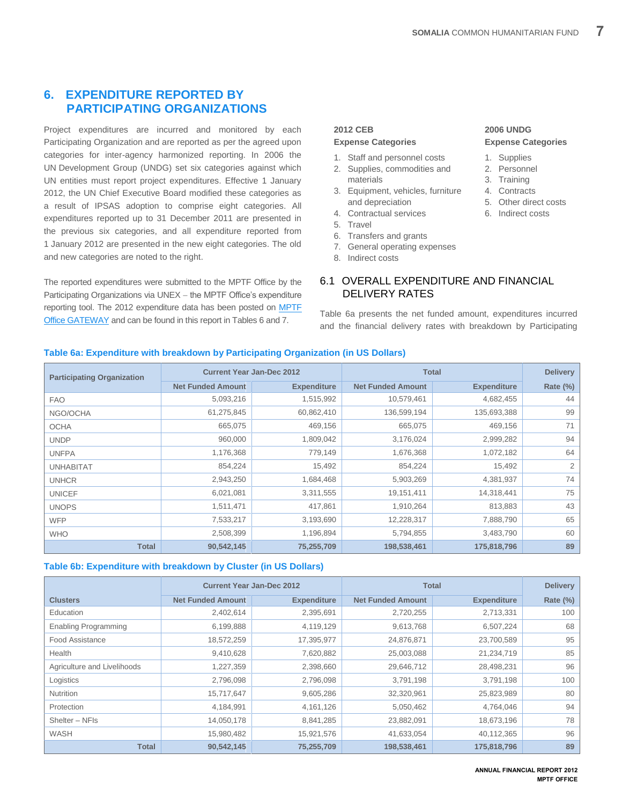# <span id="page-9-0"></span>**6. EXPENDITURE REPORTED BY PARTICIPATING ORGANIZATIONS**

Project expenditures are incurred and monitored by each Participating Organization and are reported as per the agreed upon categories for inter-agency harmonized reporting. In 2006 the UN Development Group (UNDG) set six categories against which UN entities must report project expenditures. Effective 1 January 2012, the UN Chief Executive Board modified these categories as a result of IPSAS adoption to comprise eight categories. All expenditures reported up to 31 December 2011 are presented in the previous six categories, and all expenditure reported from 1 January 2012 are presented in the new eight categories. The old and new categories are noted to the right.

The reported expenditures were submitted to the MPTF Office by the Participating Organizations via UNEX - the MPTF Office's expenditure reporting tool. The 2012 expenditure data has been posted on [MPTF](http://mptf.undp.org/factsheet/fund/HSO10)  [Office GATEWAY](http://mptf.undp.org/factsheet/fund/HSO10) and can be found in this report in Tables 6 and 7.

## **2012 CEB**

# **Expense Categories**

- 1. Staff and personnel costs
- 2. Supplies, commodities and materials
- 3. Equipment, vehicles, furniture and depreciation
- 4. Contractual services
- 5. Travel
- 6. Transfers and grants
- 7. General operating expenses

DELIVERY RATES

<span id="page-9-1"></span>6.1 OVERALL EXPENDITURE AND FINANCIAL

Table 6a presents the net funded amount, expenditures incurred and the financial delivery rates with breakdown by Participating

8. Indirect costs

# **2006 UNDG Expense Categories**

- 1. Supplies
- 2. Personnel
- 3. Training 4. Contracts
- 5. Other direct costs
- 
- 6. Indirect costs

## **Table 6a: Expenditure with breakdown by Participating Organization (in US Dollars)**

| <b>Participating Organization</b> | <b>Current Year Jan-Dec 2012</b> |                    | <b>Total</b>             |                    | <b>Delivery</b> |
|-----------------------------------|----------------------------------|--------------------|--------------------------|--------------------|-----------------|
|                                   | <b>Net Funded Amount</b>         | <b>Expenditure</b> | <b>Net Funded Amount</b> | <b>Expenditure</b> | <b>Rate (%)</b> |
| <b>FAO</b>                        | 5,093,216                        | 1,515,992          | 10,579,461               | 4,682,455          | 44              |
| NGO/OCHA                          | 61,275,845                       | 60,862,410         | 136,599,194              | 135,693,388        | 99              |
| <b>OCHA</b>                       | 665,075                          | 469,156            | 665,075                  | 469,156            | 71              |
| <b>UNDP</b>                       | 960,000                          | 1,809,042          | 3,176,024                | 2,999,282          | 94              |
| <b>UNFPA</b>                      | 1,176,368                        | 779,149            | 1,676,368                | 1,072,182          | 64              |
| <b>UNHABITAT</b>                  | 854,224                          | 15,492             | 854,224                  | 15,492             | 2               |
| <b>UNHCR</b>                      | 2,943,250                        | 1,684,468          | 5,903,269                | 4,381,937          | 74              |
| <b>UNICEF</b>                     | 6,021,081                        | 3,311,555          | 19,151,411               | 14,318,441         | 75              |
| <b>UNOPS</b>                      | 1,511,471                        | 417,861            | 1,910,264                | 813,883            | 43              |
| <b>WFP</b>                        | 7,533,217                        | 3,193,690          | 12,228,317               | 7,888,790          | 65              |
| <b>WHO</b>                        | 2,508,399                        | 1,196,894          | 5,794,855                | 3,483,790          | 60              |
| <b>Total</b>                      | 90,542,145                       | 75,255,709         | 198,538,461              | 175,818,796        | 89              |

## **Table 6b: Expenditure with breakdown by Cluster (in US Dollars)**

|                             | <b>Current Year Jan-Dec 2012</b> |                    | <b>Total</b>             | <b>Delivery</b>    |             |
|-----------------------------|----------------------------------|--------------------|--------------------------|--------------------|-------------|
| <b>Clusters</b>             | <b>Net Funded Amount</b>         | <b>Expenditure</b> | <b>Net Funded Amount</b> | <b>Expenditure</b> | Rate $(\%)$ |
| Education                   | 2,402,614                        | 2,395,691          | 2,720,255                | 2,713,331          | 100         |
| Enabling Programming        | 6,199,888                        | 4,119,129          | 9,613,768                | 6,507,224          | 68          |
| <b>Food Assistance</b>      | 18,572,259                       | 17,395,977         | 24,876,871               | 23,700,589         | 95          |
| Health                      | 9,410,628                        | 7,620,882          | 25,003,088               | 21,234,719         | 85          |
| Agriculture and Livelihoods | 1,227,359                        | 2,398,660          | 29,646,712               | 28,498,231         | 96          |
| Logistics                   | 2,796,098                        | 2,796,098          | 3,791,198                | 3,791,198          | 100         |
| <b>Nutrition</b>            | 15,717,647                       | 9,605,286          | 32,320,961               | 25,823,989         | 80          |
| Protection                  | 4,184,991                        | 4, 161, 126        | 5,050,462                | 4,764,046          | 94          |
| Shelter - NFIs              | 14,050,178                       | 8,841,285          | 23,882,091               | 18,673,196         | 78          |
| WASH                        | 15,980,482                       | 15,921,576         | 41,633,054               | 40,112,365         | 96          |
| <b>Total</b>                | 90,542,145                       | 75,255,709         | 198,538,461              | 175,818,796        | 89          |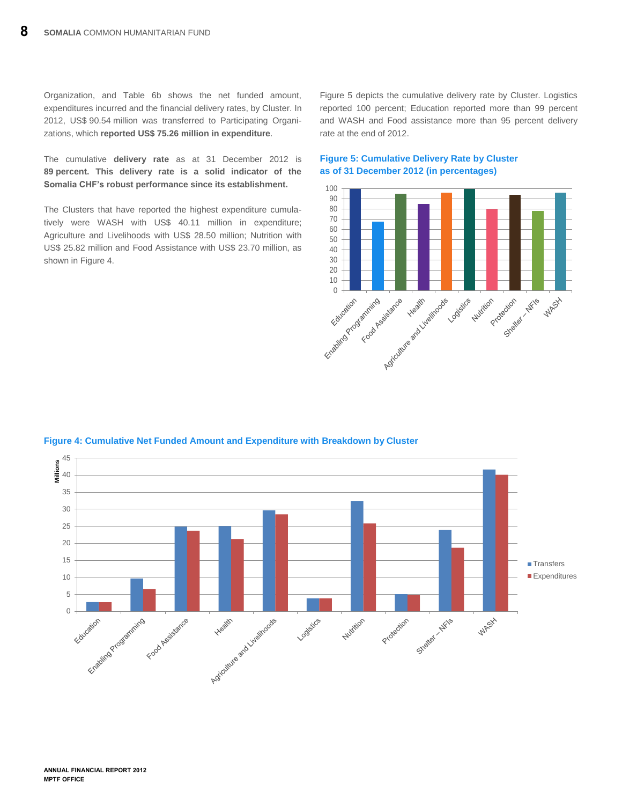Organization, and Table 6b shows the net funded amount, expenditures incurred and the financial delivery rates, by Cluster. In 2012, US\$ 90.54 million was transferred to Participating Organizations, which **reported US\$ 75.26 million in expenditure**.

The cumulative **delivery rate** as at 31 December 2012 is **89 percent. This delivery rate is a solid indicator of the Somalia CHF's robust performance since its establishment.**

The Clusters that have reported the highest expenditure cumulatively were WASH with US\$ 40.11 million in expenditure; Agriculture and Livelihoods with US\$ 28.50 million; Nutrition with US\$ 25.82 million and Food Assistance with US\$ 23.70 million, as shown in Figure 4.

Figure 5 depicts the cumulative delivery rate by Cluster. Logistics reported 100 percent; Education reported more than 99 percent and WASH and Food assistance more than 95 percent delivery rate at the end of 2012.



## **Figure 5: Cumulative Delivery Rate by Cluster as of 31 December 2012 (in percentages)**



## **Figure 4: Cumulative Net Funded Amount and Expenditure with Breakdown by Cluster**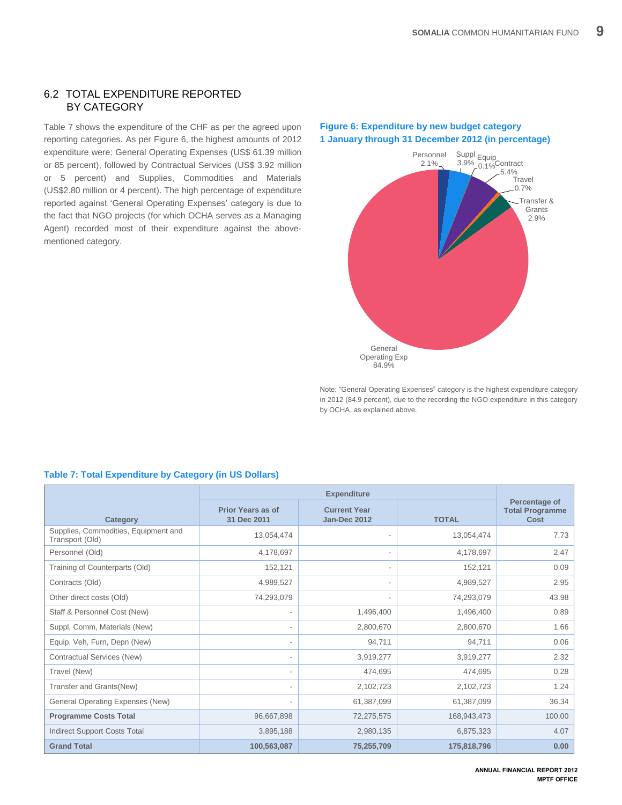## <span id="page-11-0"></span>6.2 TOTAL EXPENDITURE REPORTED BY CATEGORY

Table 7 shows the expenditure of the CHF as per the agreed upon reporting categories. As per Figure 6, the highest amounts of 2012 expenditure were: General Operating Expenses (US\$ 61.39 million or 85 percent), followed by Contractual Services (US\$ 3.92 million or 5 percent) and Supplies, Commodities and Materials (US\$2.80 million or 4 percent). The high percentage of expenditure reported against 'General Operating Expenses' category is due to the fact that NGO projects (for which OCHA serves as a Managing Agent) recorded most of their expenditure against the abovementioned category.

# **Figure 6: Expenditure by new budget category 1 January through 31 December 2012 (in percentage)**



<span id="page-11-1"></span>Note: "General Operating Expenses" category is the highest expenditure category in 2012 (84.9 percent), due to the recording the NGO expenditure in this category by OCHA, as explained above.

| Category                                                | <b>Prior Years as of</b><br>31 Dec 2011 | <b>Current Year</b><br><b>Jan-Dec 2012</b> | <b>TOTAL</b> | Percentage of<br><b>Total Programme</b><br>Cost |
|---------------------------------------------------------|-----------------------------------------|--------------------------------------------|--------------|-------------------------------------------------|
| Supplies, Commodities, Equipment and<br>Transport (Old) | 13,054,474                              |                                            | 13,054,474   | 7.73                                            |
| Personnel (Old)                                         | 4,178,697                               | $\overline{\phantom{a}}$                   | 4,178,697    | 2.47                                            |
| Training of Counterparts (Old)                          | 152,121                                 |                                            | 152,121      | 0.09                                            |
| Contracts (Old)                                         | 4,989,527                               | ٠                                          | 4,989,527    | 2.95                                            |
| Other direct costs (Old)                                | 74,293,079                              |                                            | 74,293,079   | 43.98                                           |
| Staff & Personnel Cost (New)                            |                                         | 1,496,400                                  | 1,496,400    | 0.89                                            |
| Suppl, Comm, Materials (New)                            |                                         | 2,800,670                                  | 2,800,670    | 1.66                                            |
| Equip, Veh, Furn, Depn (New)                            |                                         | 94,711                                     | 94.711       | 0.06                                            |
| Contractual Services (New)                              |                                         | 3,919,277                                  | 3,919,277    | 2.32                                            |
| Travel (New)                                            | $\overline{\phantom{a}}$                | 474,695                                    | 474,695      | 0.28                                            |
| Transfer and Grants(New)                                |                                         | 2,102,723                                  | 2,102,723    | 1.24                                            |
| <b>General Operating Expenses (New)</b>                 |                                         | 61,387,099                                 | 61,387,099   | 36.34                                           |
| <b>Programme Costs Total</b>                            | 96,667,898                              | 72,275,575                                 | 168,943,473  | 100.00                                          |
| <b>Indirect Support Costs Total</b>                     | 3,895,188                               | 2,980,135                                  | 6,875,323    | 4.07                                            |
| <b>Grand Total</b>                                      | 100,563,087                             | 75,255,709                                 | 175,818,796  | 0.00                                            |

# **Table 7: Total Expenditure by Category (in US Dollars)**